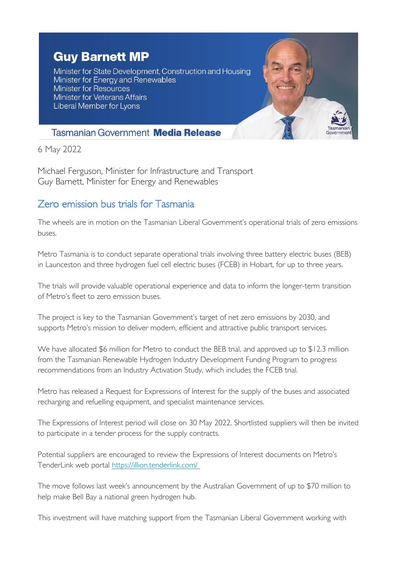## **Guy Barnett MP**

Minister for State Development, Construction and Housing Minister for Energy and Renewables Minister for Resources **Minister for Veterans Affairs** Liberal Member for Lyons



## **Tasmanian Government Media Release**

6 May 2022

Michael Ferguson, Minister for Infrastructure and Transport Guy Barnett, Minister for Energy and Renewables

## Zero emission bus trials for Tasmania

The wheels are in motion on the Tasmanian Liberal Government's operational trials of zero emissions buses.

Metro Tasmania is to conduct separate operational trials involving three battery electric buses (BEB) in Launceston and three hydrogen fuel cell electric buses (FCEB) in Hobart, for up to three years.

The trials will provide valuable operational experience and data to inform the longer-term transition of Metro's fleet to zero emission buses.

The project is key to the Tasmanian Government's target of net zero emissions by 2030, and supports Metro's mission to deliver modern, efficient and attractive public transport services.

We have allocated \$6 million for Metro to conduct the BEB trial, and approved up to \$12.3 million from the Tasmanian Renewable Hydrogen Industry Development Funding Program to progress recommendations from an Industry Activation Study, which includes the FCEB trial.

Metro has released a Request for Expressions of Interest for the supply of the buses and associated recharging and refuelling equipment, and specialist maintenance services.

The Expressions of Interest period will close on 30 May 2022. Shortlisted suppliers will then be invited to participate in a tender process for the supply contracts.

Potential suppliers are encouraged to review the Expressions of Interest documents on Metro's TenderLink web portal [https://illion.tenderlink.com/](https://tas.us20.list-manage.com/track/click?u=87871fbd094066173a964fba4&id=051bd9d753&e=e130522526)

The move follows last week's announcement by the Australian Government of up to \$70 million to help make Bell Bay a national green hydrogen hub.

This investment will have matching support from the Tasmanian Liberal Government working with